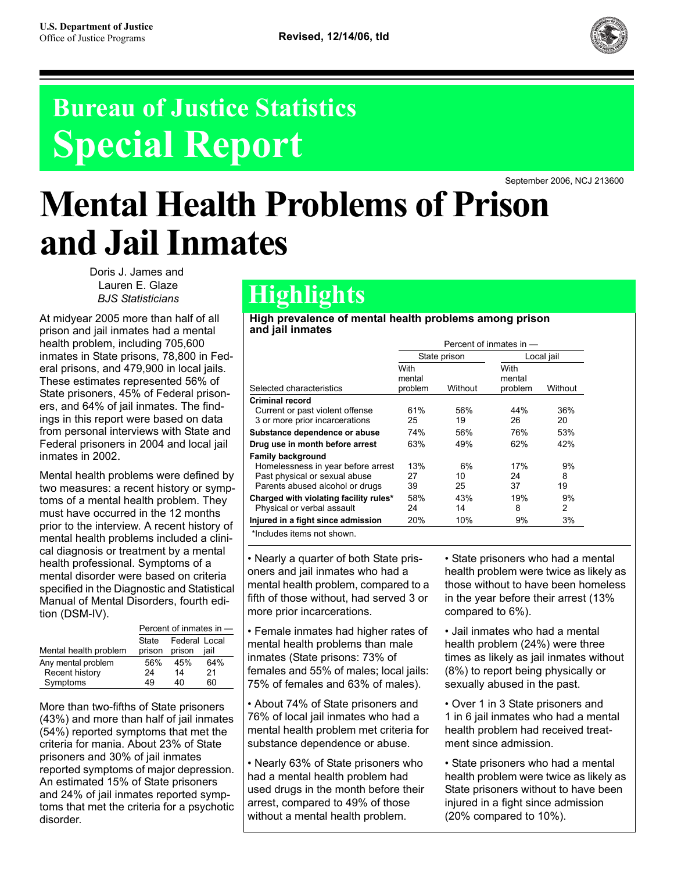

# **Bureau of Justice Statistics Special Report**

September 2006, NCJ 213600

# **Mental Health Problems of Prison and Jail Inmates**

Doris J. James and Lauren E. Glaze *BJS Statisticians*

At midyear 2005 more than half of all prison and jail inmates had a mental health problem, including 705,600 inmates in State prisons, 78,800 in Federal prisons, and 479,900 in local jails. These estimates represented 56% of State prisoners, 45% of Federal prisoners, and 64% of jail inmates. The findings in this report were based on data from personal interviews with State and Federal prisoners in 2004 and local jail inmates in 2002.

Mental health problems were defined by two measures: a recent history or symptoms of a mental health problem. They must have occurred in the 12 months prior to the interview. A recent history of mental health problems included a clinical diagnosis or treatment by a mental health professional. Symptoms of a mental disorder were based on criteria specified in the Diagnostic and Statistical Manual of Mental Disorders, fourth edition (DSM-IV).

|                       | Percent of inmates in - |                         |      |  |  |
|-----------------------|-------------------------|-------------------------|------|--|--|
| Mental health problem | State<br>prison         | Federal Local<br>prison | iail |  |  |
| Any mental problem    | 56%                     | 45%                     | 64%  |  |  |
| Recent history        | 24                      | 14                      | 21   |  |  |
| Symptoms              | 49                      | 40                      | 60   |  |  |

More than two-fifths of State prisoners (43%) and more than half of jail inmates (54%) reported symptoms that met the criteria for mania. About 23% of State prisoners and 30% of jail inmates reported symptoms of major depression. An estimated 15% of State prisoners and 24% of jail inmates reported symptoms that met the criteria for a psychotic disorder.

# **Highlights**

**High prevalence of mental health problems among prison and jail inmates**

|                                        | Percent of inmates in - |              |                |            |  |  |
|----------------------------------------|-------------------------|--------------|----------------|------------|--|--|
|                                        |                         | State prison |                | Local jail |  |  |
|                                        | With<br>mental          |              | With<br>mental |            |  |  |
| Selected characteristics               | problem                 | Without      | problem        | Without    |  |  |
| <b>Criminal record</b>                 |                         |              |                |            |  |  |
| Current or past violent offense        | 61%                     | 56%          | 44%            | 36%        |  |  |
| 3 or more prior incarcerations         | 25                      | 19           | 26             | 20         |  |  |
| Substance dependence or abuse          | 74%                     | 56%          | 76%            | 53%        |  |  |
| Drug use in month before arrest        | 63%                     | 49%          | 62%            | 42%        |  |  |
| <b>Family background</b>               |                         |              |                |            |  |  |
| Homelessness in year before arrest     | 13%                     | 6%           | 17%            | 9%         |  |  |
| Past physical or sexual abuse          | 27                      | 10           | 24             | 8          |  |  |
| Parents abused alcohol or drugs        | 39                      | 25           | 37             | 19         |  |  |
| Charged with violating facility rules* | 58%                     | 43%          | 19%            | 9%         |  |  |
| Physical or verbal assault             | 24                      | 14           | 8              | 2          |  |  |
| Injured in a fight since admission     | 20%                     | 10%          | 9%             | 3%         |  |  |
| *Includes items not shown.             |                         |              |                |            |  |  |

\*Includes items not shown.

• Nearly a quarter of both State prisoners and jail inmates who had a mental health problem, compared to a fifth of those without, had served 3 or more prior incarcerations.

• Female inmates had higher rates of mental health problems than male inmates (State prisons: 73% of females and 55% of males; local jails: 75% of females and 63% of males).

• About 74% of State prisoners and 76% of local jail inmates who had a mental health problem met criteria for substance dependence or abuse.

• Nearly 63% of State prisoners who had a mental health problem had used drugs in the month before their arrest, compared to 49% of those without a mental health problem.

• State prisoners who had a mental health problem were twice as likely as those without to have been homeless in the year before their arrest (13% compared to 6%).

• Jail inmates who had a mental health problem (24%) were three times as likely as jail inmates without (8%) to report being physically or sexually abused in the past.

• Over 1 in 3 State prisoners and 1 in 6 jail inmates who had a mental health problem had received treatment since admission.

• State prisoners who had a mental health problem were twice as likely as State prisoners without to have been injured in a fight since admission (20% compared to 10%).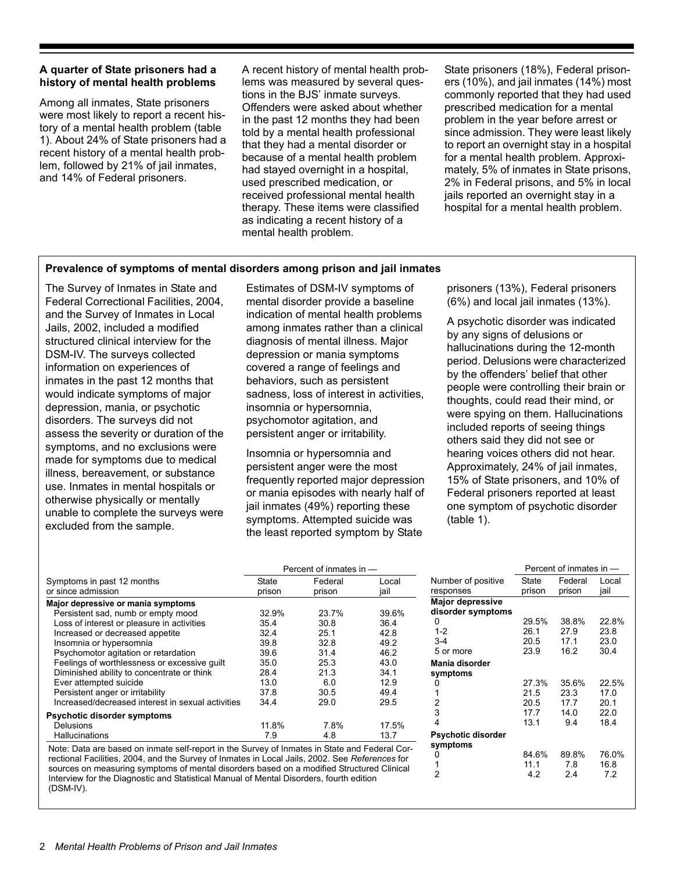### **A quarter of State prisoners had a history of mental health problems**

Among all inmates, State prisoners were most likely to report a recent history of a mental health problem (table 1). About 24% of State prisoners had a recent history of a mental health problem, followed by 21% of jail inmates, and 14% of Federal prisoners.

A recent history of mental health problems was measured by several questions in the BJS' inmate surveys. Offenders were asked about whether in the past 12 months they had been told by a mental health professional that they had a mental disorder or because of a mental health problem had stayed overnight in a hospital, used prescribed medication, or received professional mental health therapy. These items were classified as indicating a recent history of a mental health problem.

State prisoners (18%), Federal prisoners (10%), and jail inmates (14%) most commonly reported that they had used prescribed medication for a mental problem in the year before arrest or since admission. They were least likely to report an overnight stay in a hospital for a mental health problem. Approximately, 5% of inmates in State prisons, 2% in Federal prisons, and 5% in local jails reported an overnight stay in a hospital for a mental health problem.

#### **Prevalence of symptoms of mental disorders among prison and jail inmates**

The Survey of Inmates in State and Federal Correctional Facilities, 2004, and the Survey of Inmates in Local Jails, 2002, included a modified structured clinical interview for the DSM-IV. The surveys collected information on experiences of inmates in the past 12 months that would indicate symptoms of major depression, mania, or psychotic disorders. The surveys did not assess the severity or duration of the symptoms, and no exclusions were made for symptoms due to medical illness, bereavement, or substance use. Inmates in mental hospitals or otherwise physically or mentally unable to complete the surveys were excluded from the sample.

Estimates of DSM-IV symptoms of mental disorder provide a baseline indication of mental health problems among inmates rather than a clinical diagnosis of mental illness. Major depression or mania symptoms covered a range of feelings and behaviors, such as persistent sadness, loss of interest in activities, insomnia or hypersomnia, psychomotor agitation, and persistent anger or irritability.

Insomnia or hypersomnia and persistent anger were the most frequently reported major depression or mania episodes with nearly half of jail inmates (49%) reporting these symptoms. Attempted suicide was the least reported symptom by State

prisoners (13%), Federal prisoners (6%) and local jail inmates (13%).

A psychotic disorder was indicated by any signs of delusions or hallucinations during the 12-month period. Delusions were characterized by the offenders' belief that other people were controlling their brain or thoughts, could read their mind, or were spying on them. Hallucinations included reports of seeing things others said they did not see or hearing voices others did not hear. Approximately, 24% of jail inmates, 15% of State prisoners, and 10% of Federal prisoners reported at least one symptom of psychotic disorder (table 1).

|                                                   | Percent of inmates in - |                   |               |  |  |
|---------------------------------------------------|-------------------------|-------------------|---------------|--|--|
| Symptoms in past 12 months<br>or since admission  | State<br>prison         | Federal<br>prison | Local<br>iail |  |  |
| Major depressive or mania symptoms                |                         |                   |               |  |  |
| Persistent sad, numb or empty mood                | 32.9%                   | 23.7%             | 39.6%         |  |  |
| Loss of interest or pleasure in activities        | 35.4                    | 30.8              | 36.4          |  |  |
| Increased or decreased appetite                   | 32.4                    | 25.1              | 42.8          |  |  |
| Insomnia or hypersomnia                           | 39.8                    | 32.8              | 49.2          |  |  |
| Psychomotor agitation or retardation              | 39.6                    | 31.4              | 46.2          |  |  |
| Feelings of worthlessness or excessive guilt      | 35.0                    | 25.3              | 43.0          |  |  |
| Diminished ability to concentrate or think        | 28.4                    | 21.3              | 34.1          |  |  |
| Ever attempted suicide                            | 13.0                    | 6.0               | 12.9          |  |  |
| Persistent anger or irritability                  | 37.8                    | 30.5              | 49.4          |  |  |
| Increased/decreased interest in sexual activities | 34.4                    | 29.0              | 29.5          |  |  |
| Psychotic disorder symptoms                       |                         |                   |               |  |  |
| Delusions                                         | 11.8%                   | 7.8%              | 17.5%         |  |  |
| Hallucinations                                    | 7.9                     | 4.8               | 13.7          |  |  |

Note: Data are based on inmate self-report in the Survey of Inmates in State and Federal Correctional Facilities, 2004, and the Survey of Inmates in Local Jails, 2002. See *References* for sources on measuring symptoms of mental disorders based on a modified Structured Clinical Interview for the Diagnostic and Statistical Manual of Mental Disorders, fourth edition (DSM-IV).

|                         | Percent of inmates in - |         |       |  |  |
|-------------------------|-------------------------|---------|-------|--|--|
| Number of positive      | State                   | Federal | Local |  |  |
| responses               | prison                  | prison  | jail  |  |  |
| <b>Major depressive</b> |                         |         |       |  |  |
| disorder symptoms       |                         |         |       |  |  |
| ი                       | 29.5%                   | 38.8%   | 22.8% |  |  |
| $1 - 2$                 | 26.1                    | 27.9    | 23.8  |  |  |
| $3 - 4$                 | 20.5                    | 17.1    | 23.0  |  |  |
| 5 or more               | 23.9                    | 16.2    | 30.4  |  |  |
| Mania disorder          |                         |         |       |  |  |
| symptoms                |                         |         |       |  |  |
| Ω                       | 27.3%                   | 35.6%   | 22.5% |  |  |
| 1                       | 21.5                    | 23.3    | 17.0  |  |  |
| 2                       | 20.5                    | 17.7    | 20.1  |  |  |
| 3                       | 177                     | 14.0    | 22.0  |  |  |
| 4                       | 13.1                    | 9.4     | 18.4  |  |  |
| Psychotic disorder      |                         |         |       |  |  |
| symptoms                |                         |         |       |  |  |
| ი                       | 84.6%                   | 89.8%   | 76.0% |  |  |
| 1                       | 11.1                    | 7.8     | 16.8  |  |  |
| 2                       | 4.2                     | 2.4     | 7.2   |  |  |
|                         |                         |         |       |  |  |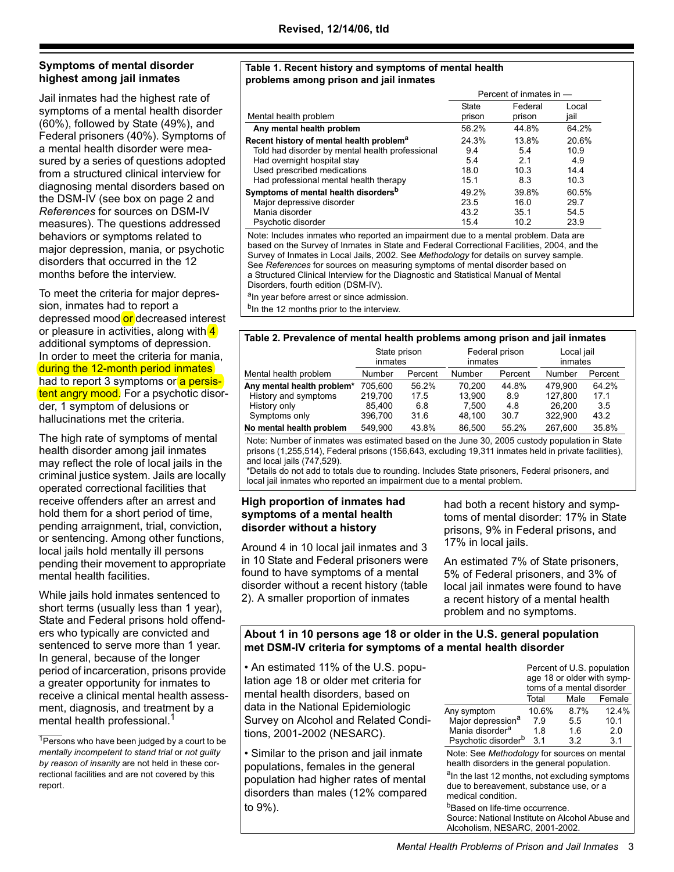# **Symptoms of mental disorder highest among jail inmates**

Jail inmates had the highest rate of symptoms of a mental health disorder (60%), followed by State (49%), and Federal prisoners (40%). Symptoms of a mental health disorder were measured by a series of questions adopted from a structured clinical interview for diagnosing mental disorders based on the DSM-IV (see box on page 2 and *References* for sources on DSM-IV measures). The questions addressed behaviors or symptoms related to major depression, mania, or psychotic disorders that occurred in the 12 months before the interview.

To meet the criteria for major depression, inmates had to report a depressed mood or decreased interest or pleasure in activities, along with  $\frac{4}{3}$ additional symptoms of depression. In order to meet the criteria for mania, during the 12-month period inmates had to report 3 symptoms or a persistent angry mood. For a psychotic disorder, 1 symptom of delusions or hallucinations met the criteria.

The high rate of symptoms of mental health disorder among jail inmates may reflect the role of local jails in the criminal justice system. Jails are locally operated correctional facilities that receive offenders after an arrest and hold them for a short period of time, pending arraignment, trial, conviction, or sentencing. Among other functions, local jails hold mentally ill persons pending their movement to appropriate mental health facilities.

While jails hold inmates sentenced to short terms (usually less than 1 year), State and Federal prisons hold offenders who typically are convicted and sentenced to serve more than 1 year. In general, because of the longer period of incarceration, prisons provide a greater opportunity for inmates to receive a clinical mental health assessment, diagnosis, and treatment by a mental health professional.<sup>1</sup>

#### **Table 1. Recent history and symptoms of mental health problems among prison and jail inmates**

|                                                      | Percent of inmates in - |         |       |  |
|------------------------------------------------------|-------------------------|---------|-------|--|
|                                                      | <b>State</b>            | Federal | Local |  |
| Mental health problem                                | prison                  | prison  | jail  |  |
| Any mental health problem                            | 56.2%                   | 44.8%   | 64.2% |  |
| Recent history of mental health problem <sup>a</sup> | 24.3%                   | 13.8%   | 20.6% |  |
| Told had disorder by mental health professional      | 9.4                     | 5.4     | 10.9  |  |
| Had overnight hospital stay                          | 5.4                     | 2.1     | 4.9   |  |
| Used prescribed medications                          | 18.0                    | 10.3    | 14.4  |  |
| Had professional mental health therapy               | 15.1                    | 8.3     | 10.3  |  |
| Symptoms of mental health disorders <sup>b</sup>     | 49.2%                   | 39.8%   | 60.5% |  |
| Major depressive disorder                            | 23.5                    | 16.0    | 29.7  |  |
| Mania disorder                                       | 43.2                    | 35.1    | 54.5  |  |
| Psychotic disorder                                   | 15.4                    | 10.2    | 23.9  |  |

Note: Includes inmates who reported an impairment due to a mental problem. Data are based on the Survey of Inmates in State and Federal Correctional Facilities, 2004, and the Survey of Inmates in Local Jails, 2002. See *Methodology* for details on survey sample. See *References* for sources on measuring symptoms of mental disorder based on a Structured Clinical Interview for the Diagnostic and Statistical Manual of Mental Disorders, fourth edition (DSM-IV).

a<sub>In year before arrest or since admission.</sub> <sup>b</sup>In the 12 months prior to the interview.

# **Table 2. Prevalence of mental health problems among prison and jail inmates**

|                            | <u>rapie 2. Frevalence of mental neathr problems among prison and fair immates</u> |         |                       |         |         |         |  |  |
|----------------------------|------------------------------------------------------------------------------------|---------|-----------------------|---------|---------|---------|--|--|
|                            | State prison<br>Federal prison<br>inmates<br>inmates                               |         | Local jail<br>inmates |         |         |         |  |  |
| Mental health problem      | Number                                                                             | Percent | Number                | Percent | Number  | Percent |  |  |
| Any mental health problem* | 705.600                                                                            | 56.2%   | 70.200                | 44.8%   | 479.900 | 64.2%   |  |  |
| History and symptoms       | 219.700                                                                            | 17.5    | 13.900                | 8.9     | 127.800 | 17.1    |  |  |
| History only               | 85.400                                                                             | 6.8     | 7.500                 | 4.8     | 26.200  | 3.5     |  |  |
| Symptoms only              | 396.700                                                                            | 31.6    | 48.100                | 30.7    | 322.900 | 43.2    |  |  |
| No mental health problem   | 549.900                                                                            | 43.8%   | 86.500                | 55.2%   | 267.600 | 35.8%   |  |  |

Note: Number of inmates was estimated based on the June 30, 2005 custody population in State prisons (1,255,514), Federal prisons (156,643, excluding 19,311 inmates held in private facilities), and local jails (747,529).

\*Details do not add to totals due to rounding. Includes State prisoners, Federal prisoners, and local jail inmates who reported an impairment due to a mental problem.

#### **High proportion of inmates had symptoms of a mental health disorder without a history**

Around 4 in 10 local jail inmates and 3 in 10 State and Federal prisoners were found to have symptoms of a mental disorder without a recent history (table 2). A smaller proportion of inmates

had both a recent history and symptoms of mental disorder: 17% in State prisons, 9% in Federal prisons, and 17% in local jails.

An estimated 7% of State prisoners, 5% of Federal prisoners, and 3% of local jail inmates were found to have a recent history of a mental health problem and no symptoms.

# **About 1 in 10 persons age 18 or older in the U.S. general population met DSM-IV criteria for symptoms of a mental health disorder**

• An estimated 11% of the U.S. population age 18 or older met criteria for mental health disorders, based on data in the National Epidemiologic Survey on Alcohol and Related Conditions, 2001-2002 (NESARC).

• Similar to the prison and jail inmate populations, females in the general population had higher rates of mental disorders than males (12% compared to 9%).

|                                                                                                                             | Percent of U.S. population<br>toms of a mental disorder |      | age 18 or older with symp- |
|-----------------------------------------------------------------------------------------------------------------------------|---------------------------------------------------------|------|----------------------------|
|                                                                                                                             | Total                                                   | Male | Female                     |
| Any symptom                                                                                                                 | 10.6%                                                   | 8.7% | 12.4%                      |
| Major depression <sup>a</sup>                                                                                               | 7.9                                                     | 5.5  | 10.1                       |
| Mania disorder <sup>a</sup>                                                                                                 | 18                                                      | 16   | 2.0                        |
| Psychotic disorder <sup>b</sup>                                                                                             | 3.1                                                     | 3.2  | 3.1                        |
| Note: See Methodology for sources on mental<br>health disorders in the general population.                                  |                                                         |      |                            |
| <sup>a</sup> In the last 12 months, not excluding symptoms<br>due to bereavement, substance use, or a<br>medical condition. |                                                         |      |                            |
| <sup>b</sup> Based on life-time occurrence.                                                                                 |                                                         |      |                            |
| Source: National Institute on Alcohol Abuse and                                                                             |                                                         |      |                            |

 $1$ Persons who have been judged by a court to be *mentally incompetent to stand trial* or *not guilty by reason of insanity* are not held in these correctional facilities and are not covered by this report.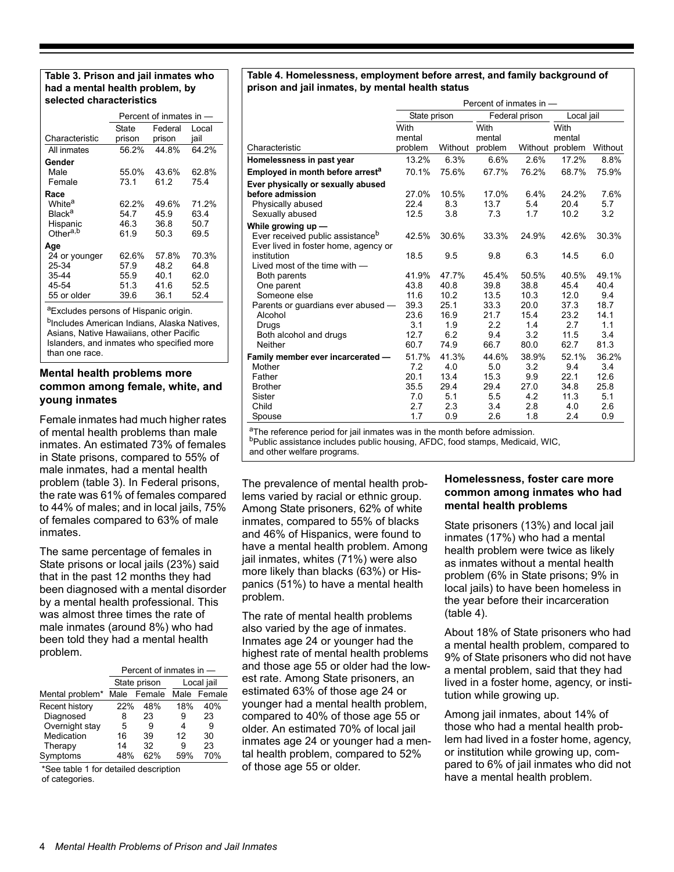#### **Table 3. Prison and jail inmates who had a mental health problem, by selected characteristics**

|                      | Percent of inmates in - |         |       |  |  |
|----------------------|-------------------------|---------|-------|--|--|
|                      | State                   | Federal | Local |  |  |
| Characteristic       | prison                  | prison  | jail  |  |  |
| All inmates          | 56.2%                   | 44.8%   | 64.2% |  |  |
| Gender               |                         |         |       |  |  |
| Male                 | 55.0%                   | 43.6%   | 62.8% |  |  |
| Female               | 73.1                    | 61 2    | 75.4  |  |  |
| Race                 |                         |         |       |  |  |
| White <sup>a</sup>   | 62.2%                   | 49.6%   | 71.2% |  |  |
| Black <sup>a</sup>   | 54.7                    | 45.9    | 63.4  |  |  |
| Hispanic             | 46.3                    | 36.8    | 50.7  |  |  |
| Other <sup>a,b</sup> | 61.9                    | 50.3    | 69.5  |  |  |
| Age                  |                         |         |       |  |  |
| 24 or younger        | 62.6%                   | 57.8%   | 70.3% |  |  |
| 25-34                | 57.9                    | 48.2    | 64.8  |  |  |
| 35-44                | 55.9                    | 40.1    | 62.0  |  |  |
| 45-54                | 51.3                    | 41.6    | 52.5  |  |  |
| 55 or older          | 39.6                    | 36.1    | 52.4  |  |  |

aExcludes persons of Hispanic origin.

<sup>b</sup>Includes American Indians, Alaska Natives, Asians, Native Hawaiians, other Pacific Islanders, and inmates who specified more than one race.

## **Mental health problems more common among female, white, and young inmates**

Female inmates had much higher rates of mental health problems than male inmates. An estimated 73% of females in State prisons, compared to 55% of male inmates, had a mental health problem (table 3). In Federal prisons, the rate was 61% of females compared to 44% of males; and in local jails, 75% of females compared to 63% of male inmates.

The same percentage of females in State prisons or local jails (23%) said that in the past 12 months they had been diagnosed with a mental disorder by a mental health professional. This was almost three times the rate of male inmates (around 8%) who had been told they had a mental health problem.

|                 | Percent of inmates in - |              |     |             |  |
|-----------------|-------------------------|--------------|-----|-------------|--|
|                 |                         | State prison |     | Local jail  |  |
| Mental problem* | Male                    | Female       |     | Male Female |  |
| Recent history  | 22%                     | 48%          | 18% | 40%         |  |
| Diagnosed       | 8                       | 23           | 9   | 23          |  |
| Overnight stay  | 5                       | 9            | 4   | 9           |  |
| Medication      | 16                      | 39           | 12  | 30          |  |
| Therapy         | 14                      | 32           | 9   | 23          |  |
| Symptoms        | 48%                     | 62%          | 59% | 70%         |  |

\*See table 1 for detailed description of categories.

#### **Table 4. Homelessness, employment before arrest, and family background of prison and jail inmates, by mental health status**

|                                                                                                     | Percent of inmates in - |         |         |                |                 |         |
|-----------------------------------------------------------------------------------------------------|-------------------------|---------|---------|----------------|-----------------|---------|
|                                                                                                     | State prison            |         |         | Federal prison | Local jail      |         |
|                                                                                                     | With                    |         | With    |                | With            |         |
|                                                                                                     | mental                  |         | mental  |                | mental          |         |
| Characteristic                                                                                      | problem                 | Without | problem |                | Without problem | Without |
| Homelessness in past year                                                                           | 13.2%                   | 6.3%    | 6.6%    | 2.6%           | 17.2%           | 8.8%    |
| Employed in month before arrest <sup>a</sup>                                                        | 70.1%                   | 75.6%   | 67.7%   | 76.2%          | 68.7%           | 75.9%   |
| Ever physically or sexually abused                                                                  |                         |         |         |                |                 |         |
| before admission                                                                                    | 27.0%                   | 10.5%   | 17.0%   | 6.4%           | 24.2%           | 7.6%    |
| Physically abused                                                                                   | 22.4                    | 8.3     | 13.7    | 5.4            | 20.4            | 5.7     |
| Sexually abused                                                                                     | 12.5                    | 3.8     | 7.3     | 1.7            | 10.2            | 3.2     |
| While growing $up$ $-$                                                                              |                         |         |         |                |                 |         |
| Ever received public assistance <sup>b</sup>                                                        | 42.5%                   | 30.6%   | 33.3%   | 24.9%          | 42.6%           | 30.3%   |
| Ever lived in foster home, agency or                                                                |                         |         |         |                |                 |         |
| institution                                                                                         | 18.5                    | 9.5     | 9.8     | 6.3            | 14.5            | 6.0     |
| Lived most of the time with $-$                                                                     |                         |         |         |                |                 |         |
| Both parents                                                                                        | 41.9%                   | 47.7%   | 45.4%   | 50.5%          | 40.5%           | 49.1%   |
| One parent                                                                                          | 43.8                    | 40.8    | 39.8    | 38.8           | 45.4            | 40.4    |
| Someone else                                                                                        | 11.6                    | 10.2    | 13.5    | 10.3           | 12.0            | 9.4     |
| Parents or guardians ever abused -                                                                  | 39.3                    | 25.1    | 33.3    | 20.0           | 37.3            | 18.7    |
| Alcohol                                                                                             | 23.6                    | 16.9    | 21.7    | 15.4           | 23.2            | 14.1    |
| Drugs                                                                                               | 3.1                     | 1.9     | 2.2     | 1.4            | 2.7             | 1.1     |
| Both alcohol and drugs                                                                              | 12.7                    | 6.2     | 9.4     | 3.2            | 11.5            | 3.4     |
| Neither                                                                                             | 60.7                    | 74.9    | 66.7    | 80.0           | 62.7            | 81.3    |
| Family member ever incarcerated -                                                                   | 51.7%                   | 41.3%   | 44.6%   | 38.9%          | 52.1%           | 36.2%   |
| Mother                                                                                              | 7.2                     | 4.0     | 5.0     | 3.2            | 9.4             | 3.4     |
| Father                                                                                              | 20.1                    | 13.4    | 15.3    | 9.9            | 22.1            | 12.6    |
| <b>Brother</b>                                                                                      | 35.5                    | 29.4    | 29.4    | 27.0           | 34.8            | 25.8    |
| Sister                                                                                              | 7.0                     | 5.1     | 5.5     | 4.2            | 11.3            | 5.1     |
| Child                                                                                               | 2.7                     | 2.3     | 3.4     | 2.8            | 4.0             | 2.6     |
| Spouse                                                                                              | 1.7                     | 0.9     | 2.6     | 1.8            | 2.4             | 0.9     |
| $\sigma$ at the corresponse of $\sigma$ and $\sigma$ is in the match in the measurement of $\sigma$ |                         |         |         |                |                 |         |

The reference period for jail inmates was in the month before admission.

bPublic assistance includes public housing, AFDC, food stamps, Medicaid, WIC,

and other welfare programs.

The prevalence of mental health problems varied by racial or ethnic group. Among State prisoners, 62% of white inmates, compared to 55% of blacks and 46% of Hispanics, were found to have a mental health problem. Among jail inmates, whites (71%) were also more likely than blacks (63%) or Hispanics (51%) to have a mental health problem.

The rate of mental health problems also varied by the age of inmates. Inmates age 24 or younger had the highest rate of mental health problems and those age 55 or older had the lowest rate. Among State prisoners, an estimated 63% of those age 24 or younger had a mental health problem, compared to 40% of those age 55 or older. An estimated 70% of local jail inmates age 24 or younger had a mental health problem, compared to 52% of those age 55 or older.

# **Homelessness, foster care more common among inmates who had mental health problems**

State prisoners (13%) and local jail inmates (17%) who had a mental health problem were twice as likely as inmates without a mental health problem (6% in State prisons; 9% in local jails) to have been homeless in the year before their incarceration (table 4).

About 18% of State prisoners who had a mental health problem, compared to 9% of State prisoners who did not have a mental problem, said that they had lived in a foster home, agency, or institution while growing up.

Among jail inmates, about 14% of those who had a mental health problem had lived in a foster home, agency, or institution while growing up, compared to 6% of jail inmates who did not have a mental health problem.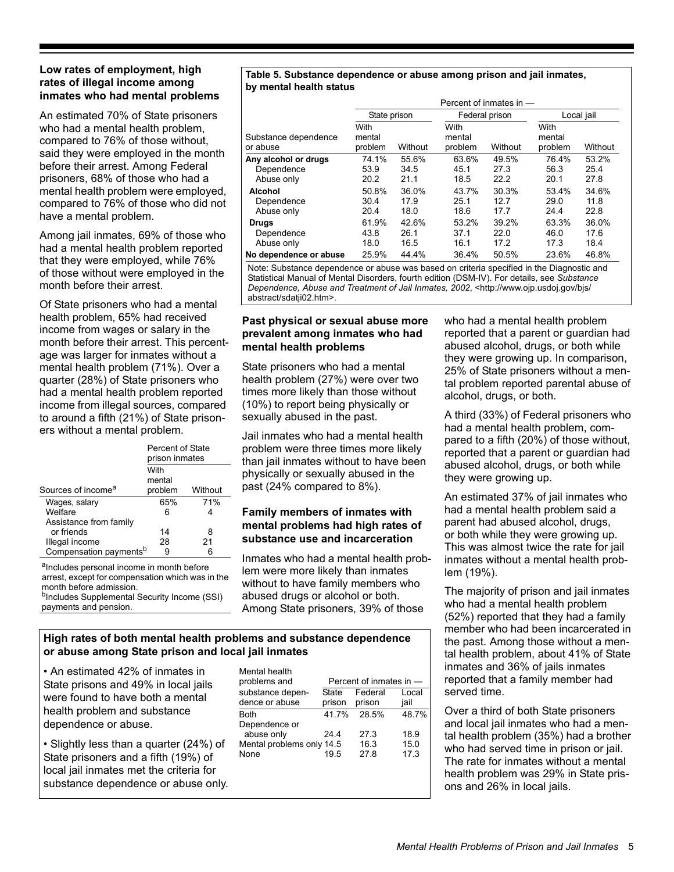#### **Low rates of employment, high rates of illegal income among inmates who had mental problems**

An estimated 70% of State prisoners who had a mental health problem, compared to 76% of those without, said they were employed in the month before their arrest. Among Federal prisoners, 68% of those who had a mental health problem were employed, compared to 76% of those who did not have a mental problem.

Among jail inmates, 69% of those who had a mental health problem reported that they were employed, while 76% of those without were employed in the month before their arrest.

Of State prisoners who had a mental health problem, 65% had received income from wages or salary in the month before their arrest. This percentage was larger for inmates without a mental health problem (71%). Over a quarter (28%) of State prisoners who had a mental health problem reported income from illegal sources, compared to around a fifth (21%) of State prisoners without a mental problem.

|                                    | Percent of State<br>prison inmates |         |  |  |
|------------------------------------|------------------------------------|---------|--|--|
| Sources of income <sup>a</sup>     | With<br>mental<br>problem          | Without |  |  |
| Wages, salary                      | 65%                                | 71%     |  |  |
| Welfare                            | 6                                  | 4       |  |  |
| Assistance from family             |                                    |         |  |  |
| or friends                         | 14                                 | 8       |  |  |
| Illegal income                     | 28                                 | 21      |  |  |
| Compensation payments <sup>b</sup> | ч                                  | 6       |  |  |

alncludes personal income in month before arrest, except for compensation which was in the month before admission.<br><sup>b</sup>Includes Supplemental Security Income (SSI)

payments and pension.

#### **Table 5. Substance dependence or abuse among prison and jail inmates, by mental health status**

|                                                  | Percent of inmates in $-$ |                       |                           |                       |                           |                       |  |
|--------------------------------------------------|---------------------------|-----------------------|---------------------------|-----------------------|---------------------------|-----------------------|--|
|                                                  | State prison              |                       |                           | Federal prison        |                           | Local jail            |  |
| Substance dependence<br>or abuse                 | With<br>mental<br>problem | Without               | With<br>mental<br>problem | Without               | With<br>mental<br>problem | Without               |  |
| Any alcohol or drugs<br>Dependence<br>Abuse only | 74.1%<br>53.9<br>20.2     | 55.6%<br>34.5<br>21.1 | 63.6%<br>45.1<br>18.5     | 49.5%<br>27.3<br>22.2 | 76.4%<br>56.3<br>20.1     | 53.2%<br>25.4<br>27.8 |  |
| Alcohol<br>Dependence<br>Abuse only              | 50.8%<br>30.4<br>20.4     | 36.0%<br>17.9<br>18.0 | 43.7%<br>25.1<br>18.6     | 30.3%<br>12.7<br>17.7 | 53.4%<br>29.0<br>24.4     | 34.6%<br>11.8<br>22.8 |  |
| <b>Drugs</b><br>Dependence<br>Abuse only         | 61.9%<br>43.8<br>18.0     | 42.6%<br>26.1<br>16.5 | 53.2%<br>37.1<br>16.1     | 39.2%<br>22.0<br>17.2 | 63.3%<br>46.0<br>17.3     | 36.0%<br>17.6<br>18.4 |  |
| No dependence or abuse                           | 25.9%                     | 44.4%                 | 36.4%                     | 50.5%                 | 23.6%                     | 46.8%                 |  |

Note: Substance dependence or abuse was based on criteria specified in the Diagnostic and Statistical Manual of Mental Disorders, fourth edition (DSM-IV). For details, see *Substance Dependence, Abuse and Treatment of Jail Inmates, 2002*, <http://www.ojp.usdoj.gov/bjs/ abstract/sdatji02.htm>.

# **Past physical or sexual abuse more prevalent among inmates who had mental health problems**

State prisoners who had a mental health problem (27%) were over two times more likely than those without (10%) to report being physically or sexually abused in the past.

Jail inmates who had a mental health problem were three times more likely than jail inmates without to have been physically or sexually abused in the past (24% compared to 8%).

# **Family members of inmates with mental problems had high rates of substance use and incarceration**

Inmates who had a mental health problem were more likely than inmates without to have family members who abused drugs or alcohol or both. Among State prisoners, 39% of those

who had a mental health problem reported that a parent or guardian had abused alcohol, drugs, or both while they were growing up. In comparison, 25% of State prisoners without a mental problem reported parental abuse of alcohol, drugs, or both.

A third (33%) of Federal prisoners who had a mental health problem, compared to a fifth (20%) of those without, reported that a parent or guardian had abused alcohol, drugs, or both while they were growing up.

An estimated 37% of jail inmates who had a mental health problem said a parent had abused alcohol, drugs, or both while they were growing up. This was almost twice the rate for jail inmates without a mental health problem (19%).

The majority of prison and jail inmates who had a mental health problem (52%) reported that they had a family member who had been incarcerated in the past. Among those without a mental health problem, about 41% of State inmates and 36% of jails inmates reported that a family member had served time.

Over a third of both State prisoners and local jail inmates who had a mental health problem (35%) had a brother who had served time in prison or jail. The rate for inmates without a mental health problem was 29% in State prisons and 26% in local jails.

# **High rates of both mental health problems and substance dependence or abuse among State prison and local jail inmates**

• An estimated 42% of inmates in State prisons and 49% in local jails were found to have both a mental health problem and substance dependence or abuse.

• Slightly less than a quarter (24%) of State prisoners and a fifth (19%) of local jail inmates met the criteria for substance dependence or abuse only.

| Mental health<br>problems and            |                        | Percent of inmates in - |               |
|------------------------------------------|------------------------|-------------------------|---------------|
| substance depen-<br>dence or abuse       | <b>State</b><br>prison | Federal<br>prison       | Local<br>jail |
| <b>Both</b>                              | 41 7%                  | 28.5%                   | 48.7%         |
| Dependence or<br>abuse only              | 24 4                   | 27.3                    | 18.9          |
| Mental problems only 14.5<br><b>None</b> | 19.5                   | 16.3<br>27 8            | 15.0<br>17.3  |
|                                          |                        |                         |               |
|                                          |                        |                         |               |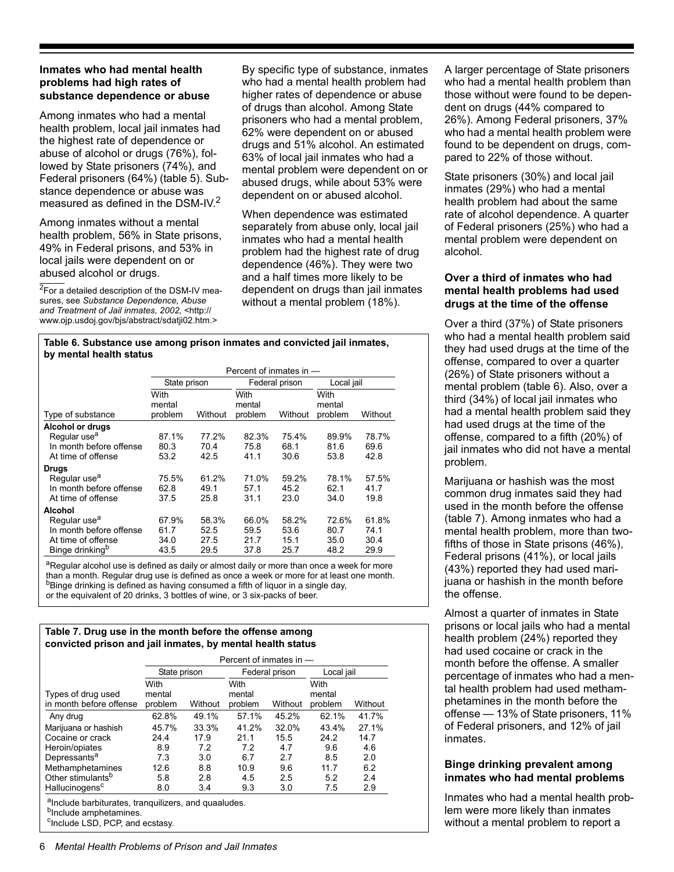## **Inmates who had mental health problems had high rates of substance dependence or abuse**

Among inmates who had a mental health problem, local jail inmates had the highest rate of dependence or abuse of alcohol or drugs (76%), followed by State prisoners (74%), and Federal prisoners (64%) (table 5). Substance dependence or abuse was measured as defined in the DSM-IV.<sup>2</sup>

Among inmates without a mental health problem, 56% in State prisons, 49% in Federal prisons, and 53% in local jails were dependent on or abused alcohol or drugs.

**2For a detailed description of the DSM-IV mea**sures, see *Substance Dependence, Abuse and Treatment of Jail inmates, 2002,* <http:// www.ojp.usdoj.gov/bjs/abstract/sdatji02.htm.>

By specific type of substance, inmates who had a mental health problem had higher rates of dependence or abuse of drugs than alcohol. Among State prisoners who had a mental problem, 62% were dependent on or abused drugs and 51% alcohol. An estimated 63% of local jail inmates who had a mental problem were dependent on or abused drugs, while about 53% were dependent on or abused alcohol.

When dependence was estimated separately from abuse only, local jail inmates who had a mental health problem had the highest rate of drug dependence (46%). They were two and a half times more likely to be dependent on drugs than jail inmates without a mental problem (18%).

#### **Table 6. Substance use among prison inmates and convicted jail inmates, by mental health status**

|                             | Percent of inmates in -   |         |                           |                |                           |            |
|-----------------------------|---------------------------|---------|---------------------------|----------------|---------------------------|------------|
|                             | State prison              |         |                           | Federal prison |                           | Local jail |
| Type of substance           | With<br>mental<br>problem | Without | With<br>mental<br>problem | Without        | With<br>mental<br>problem | Without    |
| <b>Alcohol or drugs</b>     |                           |         |                           |                |                           |            |
| Regular use <sup>a</sup>    | 87.1%                     | 77.2%   | 82.3%                     | 75.4%          | 89.9%                     | 78.7%      |
| In month before offense     | 80.3                      | 70.4    | 75.8                      | 68.1           | 81.6                      | 69.6       |
| At time of offense          | 53.2                      | 42.5    | 41.1                      | 30.6           | 53.8                      | 42.8       |
| Drugs                       |                           |         |                           |                |                           |            |
| Regular use <sup>a</sup>    | 75.5%                     | 61.2%   | 71.0%                     | 59.2%          | 78.1%                     | 57.5%      |
| In month before offense     | 62.8                      | 49.1    | 57.1                      | 45.2           | 62.1                      | 41.7       |
| At time of offense          | 37.5                      | 25.8    | 31.1                      | 23.0           | 34.0                      | 19.8       |
| Alcohol                     |                           |         |                           |                |                           |            |
| Regular use <sup>a</sup>    | 67.9%                     | 58.3%   | 66.0%                     | 58.2%          | 72.6%                     | 61.8%      |
| In month before offense     | 61.7                      | 52.5    | 59.5                      | 53.6           | 80.7                      | 74.1       |
| At time of offense          | 34.0                      | 27.5    | 21.7                      | 15.1           | 35.0                      | 30.4       |
| Binge drinking <sup>b</sup> | 43.5                      | 29.5    | 37.8                      | 25.7           | 48.2                      | 29.9       |

<sup>a</sup>Regular alcohol use is defined as daily or almost daily or more than once a week for more than a month. Regular drug use is defined as once a week or more for at least one month.  $<sup>b</sup>$ Binge drinking is defined as having consumed a fifth of liquor in a single day,</sup> or the equivalent of 20 drinks, 3 bottles of wine, or 3 six-packs of beer.

#### **Table 7. Drug use in the month before the offense among convicted prison and jail inmates, by mental health status**

|                                                                                                                                           | Percent of inmates in -   |         |                           |         |                           |         |
|-------------------------------------------------------------------------------------------------------------------------------------------|---------------------------|---------|---------------------------|---------|---------------------------|---------|
|                                                                                                                                           | State prison              |         | Federal prison            |         | Local jail                |         |
| Types of drug used<br>in month before offense                                                                                             | With<br>mental<br>problem | Without | With<br>mental<br>problem | Without | With<br>mental<br>problem | Without |
| Any drug                                                                                                                                  | 62.8%                     | 49.1%   | 57.1%                     | 45.2%   | 62.1%                     | 41.7%   |
| Marijuana or hashish                                                                                                                      | 45.7%                     | 33.3%   | 41.2%                     | 32.0%   | 43.4%                     | 27.1%   |
| Cocaine or crack                                                                                                                          | 24.4                      | 17.9    | 21.1                      | 15.5    | 24.2                      | 14.7    |
| Heroin/opiates                                                                                                                            | 8.9                       | 7.2     | 7.2                       | 4.7     | 9.6                       | 4.6     |
| Depressants <sup>a</sup>                                                                                                                  | 7.3                       | 3.0     | 6.7                       | 2.7     | 8.5                       | 2.0     |
| Methamphetamines                                                                                                                          | 12.6                      | 8.8     | 10.9                      | 9.6     | 11.7                      | 6.2     |
| Other stimulants <sup>b</sup>                                                                                                             | 5.8                       | 2.8     | 4.5                       | 2.5     | 5.2                       | 2.4     |
| Hallucinogens <sup>c</sup>                                                                                                                | 8.0                       | 3.4     | 9.3                       | 3.0     | 7.5                       | 2.9     |
| alnclude barbiturates, tranguilizers, and quaaludes.<br><sup>b</sup> Include amphetamines.<br><sup>c</sup> Include LSD, PCP, and ecstasy. |                           |         |                           |         |                           |         |

A larger percentage of State prisoners who had a mental health problem than those without were found to be dependent on drugs (44% compared to 26%). Among Federal prisoners, 37% who had a mental health problem were found to be dependent on drugs, compared to 22% of those without.

State prisoners (30%) and local jail inmates (29%) who had a mental health problem had about the same rate of alcohol dependence. A quarter of Federal prisoners (25%) who had a mental problem were dependent on alcohol.

# **Over a third of inmates who had mental health problems had used drugs at the time of the offense**

Over a third (37%) of State prisoners who had a mental health problem said they had used drugs at the time of the offense, compared to over a quarter (26%) of State prisoners without a mental problem (table 6). Also, over a third (34%) of local jail inmates who had a mental health problem said they had used drugs at the time of the offense, compared to a fifth (20%) of jail inmates who did not have a mental problem.

Marijuana or hashish was the most common drug inmates said they had used in the month before the offense (table 7). Among inmates who had a mental health problem, more than twofifths of those in State prisons (46%), Federal prisons (41%), or local jails (43%) reported they had used marijuana or hashish in the month before the offense.

Almost a quarter of inmates in State prisons or local jails who had a mental health problem (24%) reported they had used cocaine or crack in the month before the offense. A smaller percentage of inmates who had a mental health problem had used methamphetamines in the month before the offense — 13% of State prisoners, 11% of Federal prisoners, and 12% of jail inmates.

# **Binge drinking prevalent among inmates who had mental problems**

Inmates who had a mental health problem were more likely than inmates without a mental problem to report a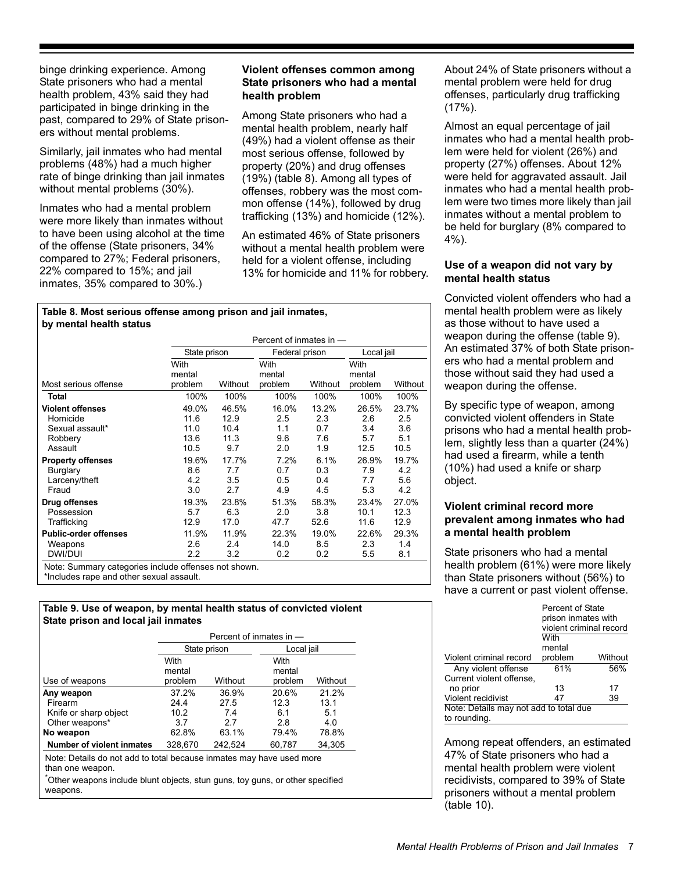binge drinking experience. Among State prisoners who had a mental health problem, 43% said they had participated in binge drinking in the past, compared to 29% of State prisoners without mental problems.

Similarly, jail inmates who had mental problems (48%) had a much higher rate of binge drinking than jail inmates without mental problems (30%).

Inmates who had a mental problem were more likely than inmates without to have been using alcohol at the time of the offense (State prisoners, 34% compared to 27%; Federal prisoners, 22% compared to 15%; and jail inmates, 35% compared to 30%.)

#### **Violent offenses common among State prisoners who had a mental health problem**

Among State prisoners who had a mental health problem, nearly half (49%) had a violent offense as their most serious offense, followed by property (20%) and drug offenses (19%) (table 8). Among all types of offenses, robbery was the most common offense (14%), followed by drug trafficking (13%) and homicide (12%).

An estimated 46% of State prisoners without a mental health problem were held for a violent offense, including 13% for homicide and 11% for robbery.

#### **Table 8. Most serious offense among prison and jail inmates, by mental health status**

| Percent of inmates in -                                             |                                                                    |                                                                |                                                                |                                                                       |                                                                  |  |
|---------------------------------------------------------------------|--------------------------------------------------------------------|----------------------------------------------------------------|----------------------------------------------------------------|-----------------------------------------------------------------------|------------------------------------------------------------------|--|
|                                                                     |                                                                    |                                                                |                                                                | Local jail                                                            |                                                                  |  |
| With<br>mental<br>problem                                           | Without                                                            | With<br>mental<br>problem                                      | Without                                                        | With<br>mental<br>problem                                             | Without                                                          |  |
| 100%                                                                | 100%                                                               | 100%                                                           | 100%                                                           | 100%                                                                  | 100%                                                             |  |
| 49.0%<br>11.6<br>11.0<br>13.6<br>10.5<br>19.6%<br>8.6<br>4.2<br>3.0 | 46.5%<br>12.9<br>10.4<br>11.3<br>9.7<br>17.7%<br>7.7<br>3.5<br>2.7 | 16.0%<br>2.5<br>1.1<br>9.6<br>2.0<br>7.2%<br>0.7<br>0.5<br>4.9 | 13.2%<br>2.3<br>0.7<br>7.6<br>1.9<br>6.1%<br>0.3<br>0.4<br>4.5 | 26.5%<br>2.6<br>3.4<br>5.7<br>12.5<br>26.9%<br>7.9<br>7.7<br>53       | 23.7%<br>2.5<br>3.6<br>5.1<br>10.5<br>19.7%<br>4.2<br>5.6<br>4.2 |  |
| 19.3%<br>5.7<br>12.9<br>11.9%<br>2.6<br>2.2                         | 23.8%<br>6.3<br>17.0<br>11.9%<br>2.4<br>3.2                        | 51.3%<br>2.0<br>47.7<br>22.3%<br>14.0<br>0.2                   | 58.3%<br>3.8<br>52.6<br>19.0%<br>8.5<br>0.2                    | 23.4%<br>10.1<br>11.6<br>22.6%<br>2.3<br>5.5                          | 27.0%<br>12.3<br>12.9<br>29.3%<br>1.4<br>8.1                     |  |
|                                                                     |                                                                    | State prison                                                   |                                                                | Federal prison<br>Note: Summary categories include offenses not shown |                                                                  |  |

Note: Summary categories include offenses not shown.

\*Includes rape and other sexual assault.

#### **Table 9. Use of weapon, by mental health status of convicted violent State prison and local jail inmates**

|                                                                                          | Percent of inmates in $-$ |              |                           |         |  |  |
|------------------------------------------------------------------------------------------|---------------------------|--------------|---------------------------|---------|--|--|
|                                                                                          |                           | State prison | Local jail                |         |  |  |
| Use of weapons                                                                           | With<br>mental<br>problem | Without      | With<br>mental<br>problem | Without |  |  |
| Any weapon                                                                               | 37.2%                     | 36.9%        | 20.6%                     | 21.2%   |  |  |
| Firearm                                                                                  | 24.4                      | 27.5         | 12.3                      | 13.1    |  |  |
| Knife or sharp object                                                                    | 10.2                      | 74           | 6.1                       | 5.1     |  |  |
| Other weapons*                                                                           | 37                        | 27           | 28                        | 4.0     |  |  |
| No weapon                                                                                | 62.8%                     | 63.1%        | 79.4%                     | 78.8%   |  |  |
| <b>Number of violent inmates</b>                                                         | 328,670                   | 242,524      | 60,787                    | 34.305  |  |  |
| Note: Details do not add to total because inmates may have used more<br>than one weapon. |                           |              |                           |         |  |  |

\* Other weapons include blunt objects, stun guns, toy guns, or other specified weapons.

About 24% of State prisoners without a mental problem were held for drug offenses, particularly drug trafficking  $(17\%)$ .

Almost an equal percentage of jail inmates who had a mental health problem were held for violent (26%) and property (27%) offenses. About 12% were held for aggravated assault. Jail inmates who had a mental health problem were two times more likely than jail inmates without a mental problem to be held for burglary (8% compared to 4%).

# **Use of a weapon did not vary by mental health status**

Convicted violent offenders who had a mental health problem were as likely as those without to have used a weapon during the offense (table 9). An estimated 37% of both State prisoners who had a mental problem and those without said they had used a weapon during the offense.

By specific type of weapon, among convicted violent offenders in State prisons who had a mental health problem, slightly less than a quarter (24%) had used a firearm, while a tenth (10%) had used a knife or sharp object.

# **Violent criminal record more prevalent among inmates who had a mental health problem**

State prisoners who had a mental health problem (61%) were more likely than State prisoners without (56%) to have a current or past violent offense.

|                                        | Percent of State<br>prison inmates with<br>violent criminal record |         |
|----------------------------------------|--------------------------------------------------------------------|---------|
|                                        | With                                                               |         |
|                                        | mental                                                             |         |
| Violent criminal record                | problem                                                            | Without |
| Any violent offense                    | 61%                                                                | 56%     |
| Current violent offense,               |                                                                    |         |
| no prior                               | 13                                                                 | 17      |
| Violent recidivist                     | 47                                                                 | 39      |
| Note: Details may not add to total due |                                                                    |         |
| to rounding.                           |                                                                    |         |

Among repeat offenders, an estimated 47% of State prisoners who had a mental health problem were violent recidivists, compared to 39% of State prisoners without a mental problem (table 10).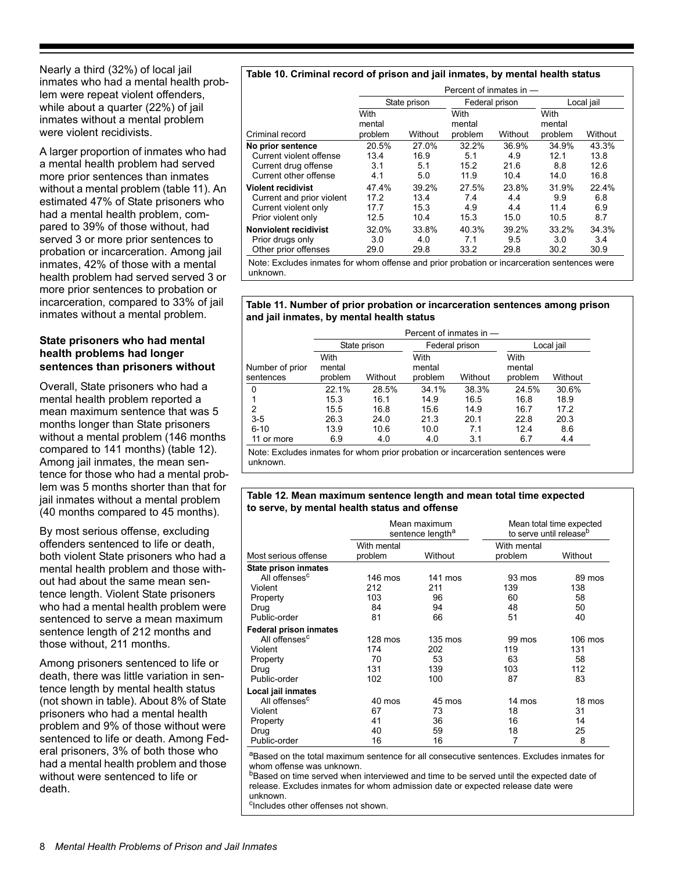Nearly a third (32%) of local jail inmates who had a mental health problem were repeat violent offenders, while about a quarter (22%) of jail inmates without a mental problem were violent recidivists.

A larger proportion of inmates who had a mental health problem had served more prior sentences than inmates without a mental problem (table 11). An estimated 47% of State prisoners who had a mental health problem, compared to 39% of those without, had served 3 or more prior sentences to probation or incarceration. Among jail inmates, 42% of those with a mental health problem had served served 3 or more prior sentences to probation or incarceration, compared to 33% of jail inmates without a mental problem.

# **State prisoners who had mental health problems had longer sentences than prisoners without**

Overall, State prisoners who had a mental health problem reported a mean maximum sentence that was 5 months longer than State prisoners without a mental problem (146 months compared to 141 months) (table 12). Among jail inmates, the mean sentence for those who had a mental problem was 5 months shorter than that for jail inmates without a mental problem (40 months compared to 45 months).

By most serious offense, excluding offenders sentenced to life or death, both violent State prisoners who had a mental health problem and those without had about the same mean sentence length. Violent State prisoners who had a mental health problem were sentenced to serve a mean maximum sentence length of 212 months and those without, 211 months.

Among prisoners sentenced to life or death, there was little variation in sentence length by mental health status (not shown in table). About 8% of State prisoners who had a mental health problem and 9% of those without were sentenced to life or death. Among Federal prisoners, 3% of both those who had a mental health problem and those without were sentenced to life or death.

#### **Table 10. Criminal record of prison and jail inmates, by mental health status**

|                                                                                                      |                               | Percent of inmates in -       |                              |                              |                              |                               |  |
|------------------------------------------------------------------------------------------------------|-------------------------------|-------------------------------|------------------------------|------------------------------|------------------------------|-------------------------------|--|
|                                                                                                      |                               | State prison                  |                              | Federal prison               |                              | Local jail                    |  |
| Criminal record                                                                                      | With<br>mental<br>problem     | Without                       | With<br>mental<br>problem    | Without                      | With<br>mental<br>problem    | Without                       |  |
| No prior sentence<br>Current violent offense<br>Current drug offense<br>Current other offense        | 20.5%<br>13.4<br>3.1<br>4.1   | 27.0%<br>16.9<br>5.1<br>5.0   | 32.2%<br>5.1<br>15.2<br>11.9 | 36.9%<br>4.9<br>21.6<br>10.4 | 34.9%<br>12.1<br>8.8<br>14.0 | 43.3%<br>13.8<br>12.6<br>16.8 |  |
| <b>Violent recidivist</b><br>Current and prior violent<br>Current violent only<br>Prior violent only | 47.4%<br>17.2<br>17.7<br>12.5 | 39.2%<br>13.4<br>15.3<br>10.4 | 27.5%<br>7.4<br>4.9<br>15.3  | 23.8%<br>4.4<br>4.4<br>15.0  | 31.9%<br>9.9<br>11.4<br>10.5 | 22.4%<br>6.8<br>6.9<br>8.7    |  |
| <b>Nonviolent recidivist</b><br>Prior drugs only<br>Other prior offenses                             | 32.0%<br>3.0<br>29.0          | 33.8%<br>4.0<br>29.8          | 40.3%<br>7.1<br>33.2         | 39.2%<br>9.5<br>29.8         | 33.2%<br>3.0<br>30.2         | 34.3%<br>3.4<br>30.9          |  |
| Note: Excludes inmates for whom offense and prior probation or incarceration sentences were          |                               |                               |                              |                              |                              |                               |  |

unknown.

#### **Table 11. Number of prior probation or incarceration sentences among prison and jail inmates, by mental health status**

|                              | Percent of inmates in $-$ |              |                           |                |                           |         |
|------------------------------|---------------------------|--------------|---------------------------|----------------|---------------------------|---------|
|                              |                           | State prison |                           | Federal prison | Local jail                |         |
| Number of prior<br>sentences | With<br>mental<br>problem | Without      | With<br>mental<br>problem | Without        | With<br>mental<br>problem | Without |
| $\mathbf{0}$                 | 22.1%                     | 28.5%        | 34.1%                     | 38.3%          | 24.5%                     | 30.6%   |
|                              | 15.3                      | 16.1         | 14.9                      | 16.5           | 16.8                      | 18.9    |
| 2                            | 15.5                      | 16.8         | 15.6                      | 14.9           | 16.7                      | 17.2    |
| $3-5$                        | 26.3                      | 24.0         | 21.3                      | 20.1           | 22.8                      | 20.3    |
| $6 - 10$                     | 13.9                      | 10.6         | 10.0                      | 7.1            | 12.4                      | 8.6     |
| 11 or more                   | 6.9                       | 4.0          | 4.0                       | 3.1            | 6.7                       | 4.4     |

Note: Excludes inmates for whom prior probation or incarceration sentences were unknown.

#### **Table 12. Mean maximum sentence length and mean total time expected to serve, by mental health status and offense**

|                               | Mean maximum<br>sentence length <sup>a</sup> |                   | Mean total time expected<br>to serve until release <sup>b</sup> |         |
|-------------------------------|----------------------------------------------|-------------------|-----------------------------------------------------------------|---------|
|                               | With mental                                  |                   | With mental                                                     |         |
| Most serious offense          | problem                                      | Without           | problem                                                         | Without |
| State prison inmates          |                                              |                   |                                                                 |         |
| All offenses <sup>c</sup>     | 146 mos                                      | 141 mos           | 93 mos                                                          | 89 mos  |
| Violent                       | 212                                          | 211               | 139                                                             | 138     |
| Property                      | 103                                          | 96                | 60                                                              | 58      |
| Drug                          | 84                                           | 94                | 48                                                              | 50      |
| Public-order                  | 81                                           | 66                | 51                                                              | 40      |
| <b>Federal prison inmates</b> |                                              |                   |                                                                 |         |
| All offenses <sup>c</sup>     | 128 mos                                      | $135 \text{ mos}$ | 99 mos                                                          | 106 mos |
| Violent                       | 174                                          | 202               | 119                                                             | 131     |
| Property                      | 70                                           | 53                | 63                                                              | 58      |
| Drug                          | 131                                          | 139               | 103                                                             | 112     |
| Public-order                  | 102                                          | 100               | 87                                                              | 83      |
| Local jail inmates            |                                              |                   |                                                                 |         |
| All offenses <sup>c</sup>     | 40 mos                                       | 45 mos            | 14 mos                                                          | 18 mos  |
| Violent                       | 67                                           | 73                | 18                                                              | 31      |
| Property                      | 41                                           | 36                | 16                                                              | 14      |
| Drug                          | 40                                           | 59                | 18                                                              | 25      |
| Public-order                  | 16                                           | 16                | 7                                                               | 8       |

aBased on the total maximum sentence for all consecutive sentences. Excludes inmates for whom offense was unknown.

<sup>b</sup>Based on time served when interviewed and time to be served until the expected date of release. Excludes inmates for whom admission date or expected release date were unknown.

<sup>c</sup>Includes other offenses not shown.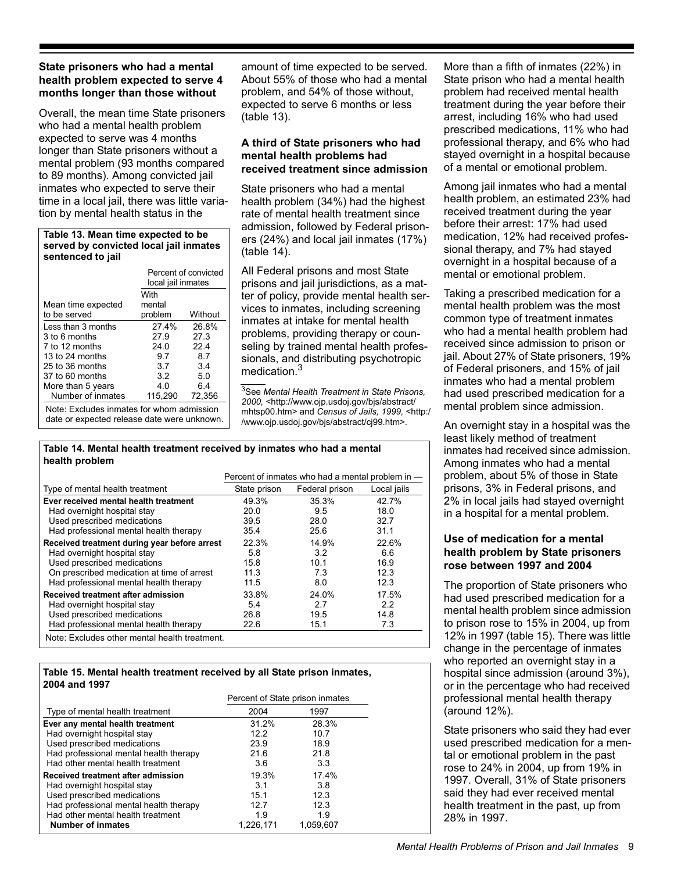# **State prisoners who had a mental health problem expected to serve 4 months longer than those without**

Overall, the mean time State prisoners who had a mental health problem expected to serve was 4 months longer than State prisoners without a mental problem (93 months compared to 89 months). Among convicted jail inmates who expected to serve their time in a local jail, there was little variation by mental health status in the

#### **Table 13. Mean time expected to be served by convicted local jail inmates sentenced to jail**

|                                                                                          | Percent of convicted<br>local jail inmates |         |  |  |
|------------------------------------------------------------------------------------------|--------------------------------------------|---------|--|--|
| Mean time expected                                                                       | With<br>mental                             |         |  |  |
| to be served                                                                             | problem                                    | Without |  |  |
| Less than 3 months                                                                       | 27.4%                                      | 26.8%   |  |  |
| 3 to 6 months                                                                            | 27.9                                       | 27.3    |  |  |
| 7 to 12 months                                                                           | 24.0                                       | 224     |  |  |
| 13 to 24 months                                                                          | 9.7                                        | 8.7     |  |  |
| 25 to 36 months                                                                          | 3.7                                        | 3.4     |  |  |
| 37 to 60 months                                                                          | 3.2                                        | 5.0     |  |  |
| More than 5 years                                                                        | 4.0                                        | 6.4     |  |  |
| Number of inmates                                                                        | 115.290                                    | 72,356  |  |  |
| Note: Excludes inmates for whom admission<br>date or expected release date were unknown. |                                            |         |  |  |

amount of time expected to be served. About 55% of those who had a mental problem, and 54% of those without, expected to serve 6 months or less (table 13).

## **A third of State prisoners who had mental health problems had received treatment since admission**

State prisoners who had a mental health problem (34%) had the highest rate of mental health treatment since admission, followed by Federal prisoners (24%) and local jail inmates (17%) (table 14).

All Federal prisons and most State prisons and jail jurisdictions, as a matter of policy, provide mental health services to inmates, including screening inmates at intake for mental health problems, providing therapy or counseling by trained mental health professionals, and distributing psychotropic medication.3

3See *Mental Health Treatment in State Prisons, 2000,* <http://www.ojp.usdoj.gov/bjs/abstract/ mhtsp00.htm> and *Census of Jails, 1999,* <http:/ /www.ojp.usdoj.gov/bjs/abstract/cj99.htm>.

#### **Table 14. Mental health treatment received by inmates who had a mental health problem**

|                                               | Percent of inmates who had a mental problem in - |                 |             |  |  |
|-----------------------------------------------|--------------------------------------------------|-----------------|-------------|--|--|
| Type of mental health treatment               | State prison                                     | Federal prison  | Local jails |  |  |
| Ever received mental health treatment         | 49.3%                                            | 35.3%           | 42.7%       |  |  |
| Had overnight hospital stay                   | 20.0                                             | 9.5             | 18.0        |  |  |
| Used prescribed medications                   | 39.5                                             | 28.0            | 32.7        |  |  |
| Had professional mental health therapy        | 35.4                                             | 25.6            | 31.1        |  |  |
| Received treatment during year before arrest  | 22.3%                                            | 14.9%           | 22.6%       |  |  |
| Had overnight hospital stay                   | 5.8                                              | 3.2             | 6.6         |  |  |
| Used prescribed medications                   | 158                                              | 10 <sub>1</sub> | 16.9        |  |  |
| On prescribed medication at time of arrest    | 11.3                                             | 73              | 12.3        |  |  |
| Had professional mental health therapy        | 11.5                                             | 8.0             | 12.3        |  |  |
| Received treatment after admission            | 33.8%                                            | 24.0%           | 17.5%       |  |  |
| Had overnight hospital stay                   | 5.4                                              | 2.7             | 2.2         |  |  |
| Used prescribed medications                   | 26.8                                             | 19.5            | 14.8        |  |  |
| Had professional mental health therapy        | 22.6                                             | 15.1            | 7.3         |  |  |
| Note: Excludes other mental health treatment. |                                                  |                 |             |  |  |

#### **Table 15. Mental health treatment received by all State prison inmates, 2004 and 1997**

|                                        | Percent of State prison inmates |           |  |
|----------------------------------------|---------------------------------|-----------|--|
| Type of mental health treatment        | 2004                            | 1997      |  |
| Ever any mental health treatment       | 31.2%                           | 28.3%     |  |
| Had overnight hospital stay            | 122                             | 10.7      |  |
| Used prescribed medications            | 23.9                            | 18.9      |  |
| Had professional mental health therapy | 21.6                            | 21.8      |  |
| Had other mental health treatment      | 3.6                             | 3.3       |  |
| Received treatment after admission     | 19.3%                           | 17.4%     |  |
| Had overnight hospital stay            | 3.1                             | 3.8       |  |
| Used prescribed medications            | 15.1                            | 12.3      |  |
| Had professional mental health therapy | 12.7                            | 12.3      |  |
| Had other mental health treatment      | 1.9                             | 1.9       |  |
| <b>Number of inmates</b>               | 1,226,171                       | 1,059,607 |  |

More than a fifth of inmates (22%) in State prison who had a mental health problem had received mental health treatment during the year before their arrest, including 16% who had used prescribed medications, 11% who had professional therapy, and 6% who had stayed overnight in a hospital because of a mental or emotional problem.

Among jail inmates who had a mental health problem, an estimated 23% had received treatment during the year before their arrest: 17% had used medication, 12% had received professional therapy, and 7% had stayed overnight in a hospital because of a mental or emotional problem.

Taking a prescribed medication for a mental health problem was the most common type of treatment inmates who had a mental health problem had received since admission to prison or jail. About 27% of State prisoners, 19% of Federal prisoners, and 15% of jail inmates who had a mental problem had used prescribed medication for a mental problem since admission.

An overnight stay in a hospital was the least likely method of treatment inmates had received since admission. Among inmates who had a mental problem, about 5% of those in State prisons, 3% in Federal prisons, and 2% in local jails had stayed overnight in a hospital for a mental problem.

# **Use of medication for a mental health problem by State prisoners rose between 1997 and 2004**

The proportion of State prisoners who had used prescribed medication for a mental health problem since admission to prison rose to 15% in 2004, up from 12% in 1997 (table 15). There was little change in the percentage of inmates who reported an overnight stay in a hospital since admission (around 3%), or in the percentage who had received professional mental health therapy (around 12%).

State prisoners who said they had ever used prescribed medication for a mental or emotional problem in the past rose to 24% in 2004, up from 19% in 1997. Overall, 31% of State prisoners said they had ever received mental health treatment in the past, up from 28% in 1997.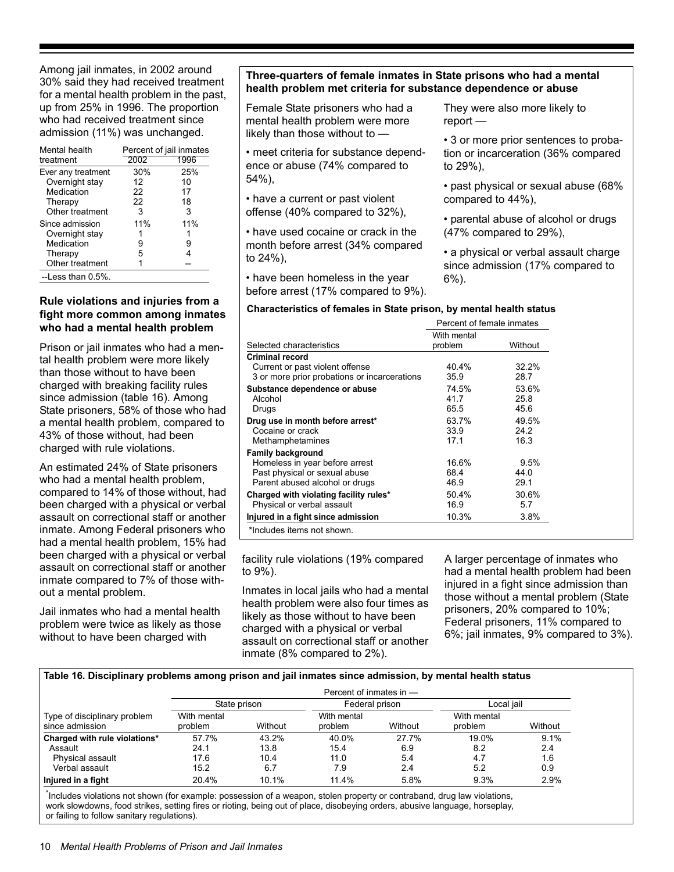Among jail inmates, in 2002 around 30% said they had received treatment for a mental health problem in the past, up from 25% in 1996. The proportion who had received treatment since admission (11%) was unchanged.

| Mental health       | Percent of jail inmates |      |  |  |
|---------------------|-------------------------|------|--|--|
| treatment           | 2002                    | 1996 |  |  |
| Ever any treatment  | 30%                     | 25%  |  |  |
| Overnight stay      | 12                      | 10   |  |  |
| Medication          | 22                      | 17   |  |  |
| Therapy             | 22                      | 18   |  |  |
| Other treatment     | 3                       | 3    |  |  |
| Since admission     | 11%                     | 11%  |  |  |
| Overnight stay      |                         |      |  |  |
| Medication          | 9                       | 9    |  |  |
| Therapy             | 5                       |      |  |  |
| Other treatment     |                         |      |  |  |
| $-L$ ess than 0.5%. |                         |      |  |  |

#### **Rule violations and injuries from a fight more common among inmates who had a mental health problem**

Prison or jail inmates who had a mental health problem were more likely than those without to have been charged with breaking facility rules since admission (table 16). Among State prisoners, 58% of those who had a mental health problem, compared to 43% of those without, had been charged with rule violations.

An estimated 24% of State prisoners who had a mental health problem, compared to 14% of those without, had been charged with a physical or verbal assault on correctional staff or another inmate. Among Federal prisoners who had a mental health problem, 15% had been charged with a physical or verbal assault on correctional staff or another inmate compared to 7% of those without a mental problem.

Jail inmates who had a mental health problem were twice as likely as those without to have been charged with

# **Three-quarters of female inmates in State prisons who had a mental health problem met criteria for substance dependence or abuse**

Female State prisoners who had a mental health problem were more likely than those without to —

• meet criteria for substance dependence or abuse (74% compared to 54%),

• have a current or past violent offense (40% compared to 32%),

• have used cocaine or crack in the month before arrest (34% compared to 24%),

• have been homeless in the year before arrest (17% compared to 9%). They were also more likely to report —

• 3 or more prior sentences to probation or incarceration (36% compared to 29%),

• past physical or sexual abuse (68% compared to 44%),

• parental abuse of alcohol or drugs (47% compared to 29%),

• a physical or verbal assault charge since admission (17% compared to 6%).

#### **Characteristics of females in State prison, by mental health status**

|                                              | Percent of female inmates |         |  |
|----------------------------------------------|---------------------------|---------|--|
|                                              | With mental               |         |  |
| Selected characteristics                     | problem                   | Without |  |
| <b>Criminal record</b>                       |                           |         |  |
| Current or past violent offense              | 40.4%                     | 32.2%   |  |
| 3 or more prior probations or incarcerations | 35.9                      | 28.7    |  |
| Substance dependence or abuse                | 74.5%                     | 53.6%   |  |
| Alcohol                                      | 41.7                      | 25.8    |  |
| Drugs                                        | 65.5                      | 45.6    |  |
| Drug use in month before arrest*             | 63.7%                     | 49.5%   |  |
| Cocaine or crack                             | 33.9                      | 24.2    |  |
| Methamphetamines                             | 17.1                      | 16.3    |  |
| <b>Family background</b>                     |                           |         |  |
| Homeless in year before arrest               | 16.6%                     | 9.5%    |  |
| Past physical or sexual abuse                | 68.4                      | 44.0    |  |
| Parent abused alcohol or drugs               | 46.9                      | 29.1    |  |
| Charged with violating facility rules*       | 50.4%                     | 30.6%   |  |
| Physical or verbal assault                   | 16.9                      | 5.7     |  |
| Injured in a fight since admission           | 10.3%                     | 3.8%    |  |
| *Includes items not shown.                   |                           |         |  |

facility rule violations (19% compared to 9%).

Inmates in local jails who had a mental health problem were also four times as likely as those without to have been charged with a physical or verbal assault on correctional staff or another inmate (8% compared to 2%).

A larger percentage of inmates who had a mental health problem had been injured in a fight since admission than those without a mental problem (State prisoners, 20% compared to 10%; Federal prisoners, 11% compared to 6%; jail inmates, 9% compared to 3%).

#### **Table 16. Disciplinary problems among prison and jail inmates since admission, by mental health status**

|                                                 | Percent of inmates in $-$ |          |                        |         |                        |         |  |
|-------------------------------------------------|---------------------------|----------|------------------------|---------|------------------------|---------|--|
|                                                 | State prison              |          | Federal prison         |         | Local jail             |         |  |
| Type of disciplinary problem<br>since admission | With mental<br>problem    | Without  | With mental<br>problem | Without | With mental<br>problem | Without |  |
| Charged with rule violations*                   | 57.7%                     | 43.2%    | 40.0%                  | 27.7%   | 19.0%                  | 9.1%    |  |
| Assault                                         | 24.1                      | 13.8     | 15.4                   | 6.9     | 8.2                    | 2.4     |  |
| Physical assault                                | 17.6                      | 10.4     | 11.0                   | 5.4     | 4.7                    | 1.6     |  |
| Verbal assault                                  | 15.2                      | 6.7      | 7.9                    | 2.4     | 5.2                    | 0.9     |  |
| Injured in a fight                              | 20.4%                     | $10.1\%$ | 11.4%                  | 5.8%    | 9.3%                   | 2.9%    |  |

\* Includes violations not shown (for example: possession of a weapon, stolen property or contraband, drug law violations, work slowdowns, food strikes, setting fires or rioting, being out of place, disobeying orders, abusive language, horseplay, or failing to follow sanitary regulations).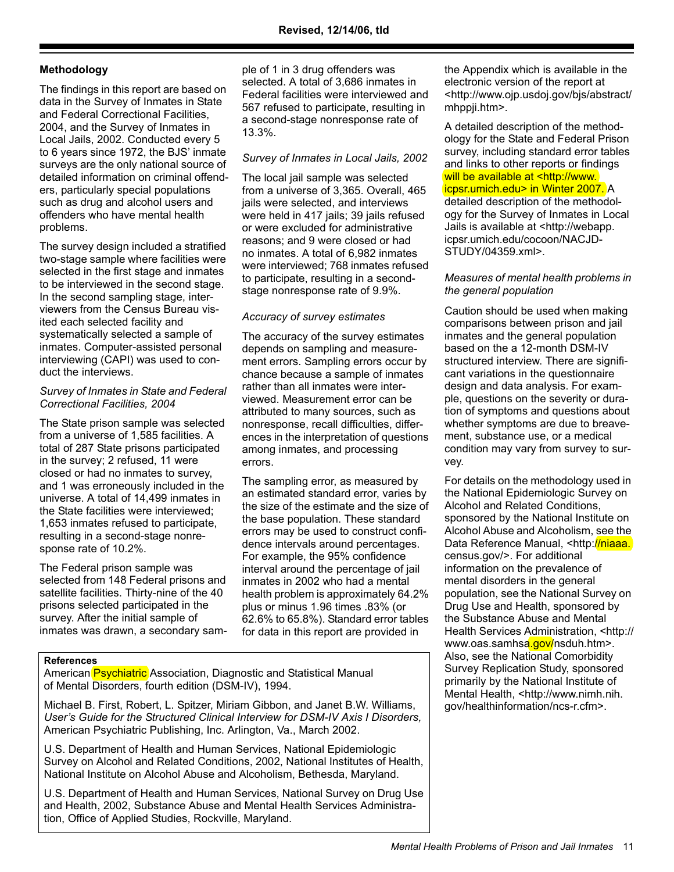# **Methodology**

The findings in this report are based on data in the Survey of Inmates in State and Federal Correctional Facilities, 2004, and the Survey of Inmates in Local Jails, 2002. Conducted every 5 to 6 years since 1972, the BJS' inmate surveys are the only national source of detailed information on criminal offenders, particularly special populations such as drug and alcohol users and offenders who have mental health problems.

The survey design included a stratified two-stage sample where facilities were selected in the first stage and inmates to be interviewed in the second stage. In the second sampling stage, interviewers from the Census Bureau visited each selected facility and systematically selected a sample of inmates. Computer-assisted personal interviewing (CAPI) was used to conduct the interviews.

## *Survey of Inmates in State and Federal Correctional Facilities, 2004*

The State prison sample was selected from a universe of 1,585 facilities. A total of 287 State prisons participated in the survey; 2 refused, 11 were closed or had no inmates to survey, and 1 was erroneously included in the universe. A total of 14,499 inmates in the State facilities were interviewed; 1,653 inmates refused to participate, resulting in a second-stage nonresponse rate of 10.2%.

The Federal prison sample was selected from 148 Federal prisons and satellite facilities. Thirty-nine of the 40 prisons selected participated in the survey. After the initial sample of inmates was drawn, a secondary sample of 1 in 3 drug offenders was selected. A total of 3,686 inmates in Federal facilities were interviewed and 567 refused to participate, resulting in a second-stage nonresponse rate of 13.3%.

# *Survey of Inmates in Local Jails, 2002*

The local jail sample was selected from a universe of 3,365. Overall, 465 jails were selected, and interviews were held in 417 jails; 39 jails refused or were excluded for administrative reasons; and 9 were closed or had no inmates. A total of 6,982 inmates were interviewed; 768 inmates refused to participate, resulting in a secondstage nonresponse rate of 9.9%.

# *Accuracy of survey estimates*

The accuracy of the survey estimates depends on sampling and measurement errors. Sampling errors occur by chance because a sample of inmates rather than all inmates were interviewed. Measurement error can be attributed to many sources, such as nonresponse, recall difficulties, differences in the interpretation of questions among inmates, and processing errors.

The sampling error, as measured by an estimated standard error, varies by the size of the estimate and the size of the base population. These standard errors may be used to construct confidence intervals around percentages. For example, the 95% confidence interval around the percentage of jail inmates in 2002 who had a mental health problem is approximately 64.2% plus or minus 1.96 times .83% (or 62.6% to 65.8%). Standard error tables for data in this report are provided in

#### **References**

American Psychiatric Association, Diagnostic and Statistical Manual of Mental Disorders, fourth edition (DSM-IV), 1994.

Michael B. First, Robert, L. Spitzer, Miriam Gibbon, and Janet B.W. Williams, *User's Guide for the Structured Clinical Interview for DSM-IV Axis I Disorders,*  American Psychiatric Publishing, Inc. Arlington, Va., March 2002.

U.S. Department of Health and Human Services, National Epidemiologic Survey on Alcohol and Related Conditions, 2002, National Institutes of Health, National Institute on Alcohol Abuse and Alcoholism, Bethesda, Maryland.

U.S. Department of Health and Human Services, National Survey on Drug Use and Health, 2002, Substance Abuse and Mental Health Services Administration, Office of Applied Studies, Rockville, Maryland.

the Appendix which is available in the electronic version of the report at <http://www.ojp.usdoj.gov/bjs/abstract/ mhppji.htm>.

A detailed description of the methodology for the State and Federal Prison survey, including standard error tables and links to other reports or findings will be available at <http://www. icpsr.umich.edu> in Winter 2007. A detailed description of the methodology for the Survey of Inmates in Local Jails is available at <http://webapp. icpsr.umich.edu/cocoon/NACJD-STUDY/04359.xml>.

# *Measures of mental health problems in the general population*

Caution should be used when making comparisons between prison and jail inmates and the general population based on the a 12-month DSM-IV structured interview. There are significant variations in the questionnaire design and data analysis. For example, questions on the severity or duration of symptoms and questions about whether symptoms are due to breavement, substance use, or a medical condition may vary from survey to survey.

For details on the methodology used in the National Epidemiologic Survey on Alcohol and Related Conditions, sponsored by the National Institute on Alcohol Abuse and Alcoholism, see the Data Reference Manual, <http://niaaa. census.gov/>. For additional information on the prevalence of mental disorders in the general population, see the National Survey on Drug Use and Health, sponsored by the Substance Abuse and Mental Health Services Administration, <http:// www.oas.samhsa.gov/nsduh.htm>. Also, see the National Comorbidity Survey Replication Study, sponsored primarily by the National Institute of Mental Health, <http://www.nimh.nih. gov/healthinformation/ncs-r.cfm>.